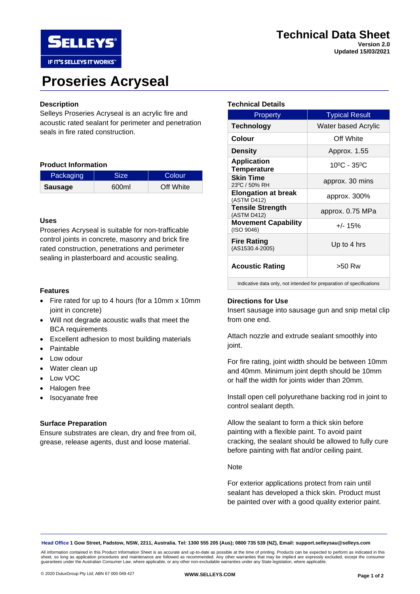



# **Proseries Acryseal**

## **Description**

Selleys Proseries Acryseal is an acrylic fire and acoustic rated sealant for perimeter and penetration seals in fire rated construction.

## **Product Information**

| Packaging      | Size <sup>7</sup> | Colour    |
|----------------|-------------------|-----------|
| <b>Sausage</b> | 600ml             | Off White |

# **Uses**

Proseries Acryseal is suitable for non-trafficable control joints in concrete, masonry and brick fire rated construction, penetrations and perimeter sealing in plasterboard and acoustic sealing.

## **Features**

- Fire rated for up to 4 hours (for a 10mm x 10mm joint in concrete)
- Will not degrade acoustic walls that meet the BCA requirements
- Excellent adhesion to most building materials
- Paintable
- Low odour
- Water clean up
- Low VOC
- Halogen free
- Isocyanate free

# **Surface Preparation**

Ensure substrates are clean, dry and free from oil, grease, release agents, dust and loose material.

## **Technical Details**

| Property                                                            | <b>Typical Result</b>            |  |  |
|---------------------------------------------------------------------|----------------------------------|--|--|
| Technology                                                          | Water based Acrylic              |  |  |
| Colour                                                              | Off White                        |  |  |
| <b>Density</b>                                                      | Approx. 1.55                     |  |  |
| <b>Application</b><br><b>Temperature</b>                            | $10^{\circ}$ C - 35 $^{\circ}$ C |  |  |
| <b>Skin Time</b><br>23 <sup>0</sup> C / 50% RH                      | approx. 30 mins                  |  |  |
| <b>Elongation at break</b><br>(ASTM D412)                           | approx. 300%                     |  |  |
| <b>Tensile Strength</b><br>(ASTM D412)                              | approx. 0.75 MPa                 |  |  |
| <b>Movement Capability</b><br>(ISO 9046)                            | $+/- 15%$                        |  |  |
| <b>Fire Rating</b><br>(AS1530.4-2005)                               | Up to 4 hrs                      |  |  |
| <b>Acoustic Rating</b>                                              | >50 Rw                           |  |  |
| Indicative data only not intended for preparation of specifications |                                  |  |  |

Indicative data only, not intended for preparation of specifications

## **Directions for Use**

Insert sausage into sausage gun and snip metal clip from one end.

Attach nozzle and extrude sealant smoothly into joint.

For fire rating, joint width should be between 10mm and 40mm. Minimum joint depth should be 10mm or half the width for joints wider than 20mm.

Install open cell polyurethane backing rod in joint to control sealant depth.

Allow the sealant to form a thick skin before painting with a flexible paint. To avoid paint cracking, the sealant should be allowed to fully cure before painting with flat and/or ceiling paint.

#### **Note**

For exterior applications protect from rain until sealant has developed a thick skin. Product must be painted over with a good quality exterior paint.

**Head Office 1 Gow Street, Padstow, NSW, 2211, Australia. Tel: 1300 555 205 (Aus); 0800 735 539 (NZ), Email: support.selleysau@selleys.com**

All information contained in this Product Information Sheet is as accurate and up-to-date as possible at the time of printing. Products can be expected to perform as indicated in this sheet, so long as application procedures and maintenance are followed as recommended. Any other warranties that may be implied are expressly excluded, except the consumer<br>guarantees under the Australian Consumer Law, where